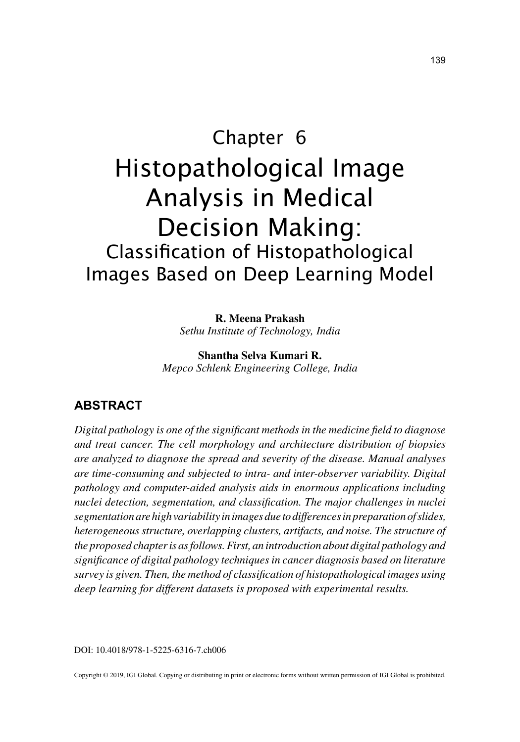# Chapter 6 Histopathological Image Analysis in Medical Decision Making: Classification of Histopathological Images Based on Deep Learning Model

**R. Meena Prakash**

*Sethu Institute of Technology, India*

**Shantha Selva Kumari R.** *Mepco Schlenk Engineering College, India*

## **ABSTRACT**

*Digital pathology is one of the significant methods in the medicine field to diagnose and treat cancer. The cell morphology and architecture distribution of biopsies are analyzed to diagnose the spread and severity of the disease. Manual analyses are time-consuming and subjected to intra- and inter-observer variability. Digital pathology and computer-aided analysis aids in enormous applications including nuclei detection, segmentation, and classification. The major challenges in nuclei segmentation are high variability in images due to differences in preparation of slides, heterogeneous structure, overlapping clusters, artifacts, and noise. The structure of the proposed chapter is as follows. First, an introduction about digital pathology and significance of digital pathology techniques in cancer diagnosis based on literature survey is given. Then, the method of classification of histopathological images using deep learning for different datasets is proposed with experimental results.*

DOI: 10.4018/978-1-5225-6316-7.ch006

Copyright © 2019, IGI Global. Copying or distributing in print or electronic forms without written permission of IGI Global is prohibited.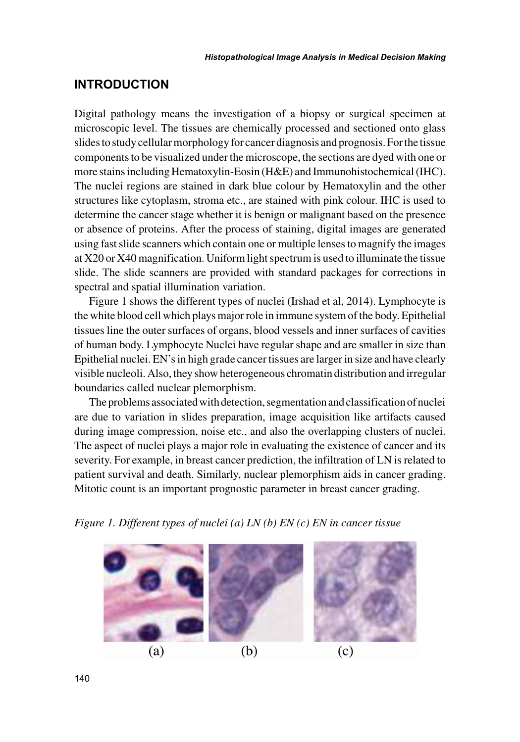### **INTRODUCTION**

Digital pathology means the investigation of a biopsy or surgical specimen at microscopic level. The tissues are chemically processed and sectioned onto glass slides to study cellular morphology for cancer diagnosis and prognosis. For the tissue components to be visualized under the microscope, the sections are dyed with one or more stains including Hematoxylin-Eosin (H&E) and Immunohistochemical (IHC). The nuclei regions are stained in dark blue colour by Hematoxylin and the other structures like cytoplasm, stroma etc., are stained with pink colour. IHC is used to determine the cancer stage whether it is benign or malignant based on the presence or absence of proteins. After the process of staining, digital images are generated using fast slide scanners which contain one or multiple lenses to magnify the images at X20 or X40 magnification. Uniform light spectrum is used to illuminate the tissue slide. The slide scanners are provided with standard packages for corrections in spectral and spatial illumination variation.

Figure 1 shows the different types of nuclei (Irshad et al, 2014). Lymphocyte is the white blood cell which plays major role in immune system of the body. Epithelial tissues line the outer surfaces of organs, blood vessels and inner surfaces of cavities of human body. Lymphocyte Nuclei have regular shape and are smaller in size than Epithelial nuclei. EN's in high grade cancer tissues are larger in size and have clearly visible nucleoli. Also, they show heterogeneous chromatin distribution and irregular boundaries called nuclear plemorphism.

The problems associated with detection, segmentation and classification of nuclei are due to variation in slides preparation, image acquisition like artifacts caused during image compression, noise etc., and also the overlapping clusters of nuclei. The aspect of nuclei plays a major role in evaluating the existence of cancer and its severity. For example, in breast cancer prediction, the infiltration of LN is related to patient survival and death. Similarly, nuclear plemorphism aids in cancer grading. Mitotic count is an important prognostic parameter in breast cancer grading.

*Figure 1. Different types of nuclei (a) LN (b) EN (c) EN in cancer tissue*